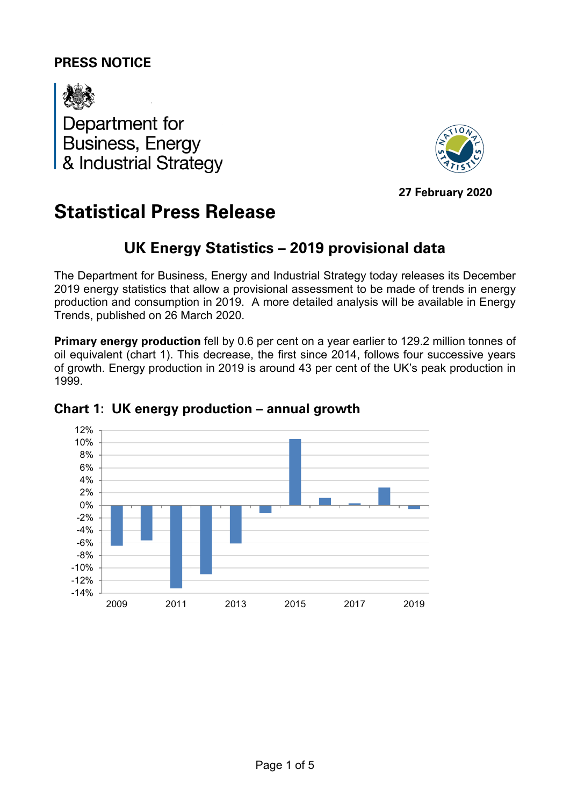# **PRESS NOTICE**



Department for **Business, Energy** & Industrial Strategy



**27 February 2020**

# **Statistical Press Release**

# **UK Energy Statistics – 2019 provisional data**

The Department for Business, Energy and Industrial Strategy today releases its December 2019 energy statistics that allow a provisional assessment to be made of trends in energy production and consumption in 2019. A more detailed analysis will be available in Energy Trends, published on 26 March 2020.

**Primary energy production** fell by 0.6 per cent on a year earlier to 129.2 million tonnes of oil equivalent (chart 1). This decrease, the first since 2014, follows four successive years of growth. Energy production in 2019 is around 43 per cent of the UK's peak production in 1999.



### **Chart 1: UK energy production – annual growth**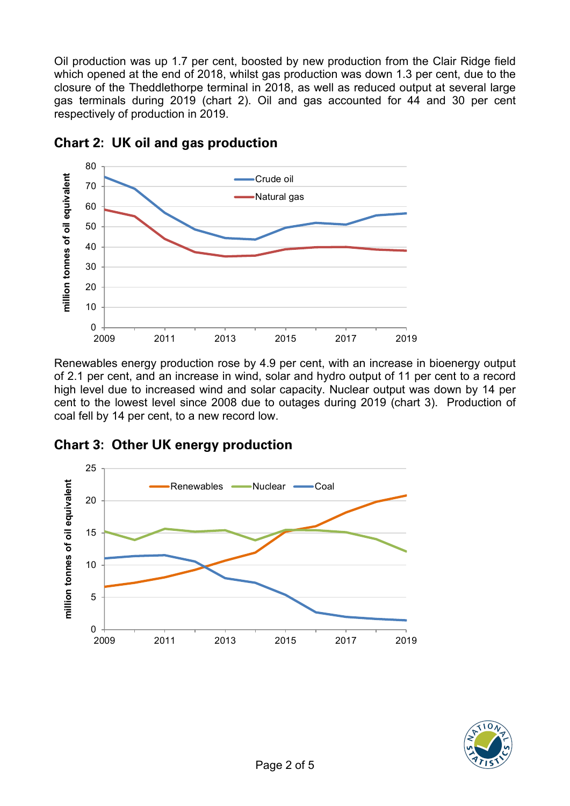Oil production was up 1.7 per cent, boosted by new production from the Clair Ridge field which opened at the end of 2018, whilst gas production was down 1.3 per cent, due to the closure of the Theddlethorpe terminal in 2018, as well as reduced output at several large gas terminals during 2019 (chart 2). Oil and gas accounted for 44 and 30 per cent respectively of production in 2019.



### **Chart 2: UK oil and gas production**

Renewables energy production rose by 4.9 per cent, with an increase in bioenergy output of 2.1 per cent, and an increase in wind, solar and hydro output of 11 per cent to a record high level due to increased wind and solar capacity. Nuclear output was down by 14 per cent to the lowest level since 2008 due to outages during 2019 (chart 3). Production of coal fell by 14 per cent, to a new record low.

### **Chart 3: Other UK energy production**



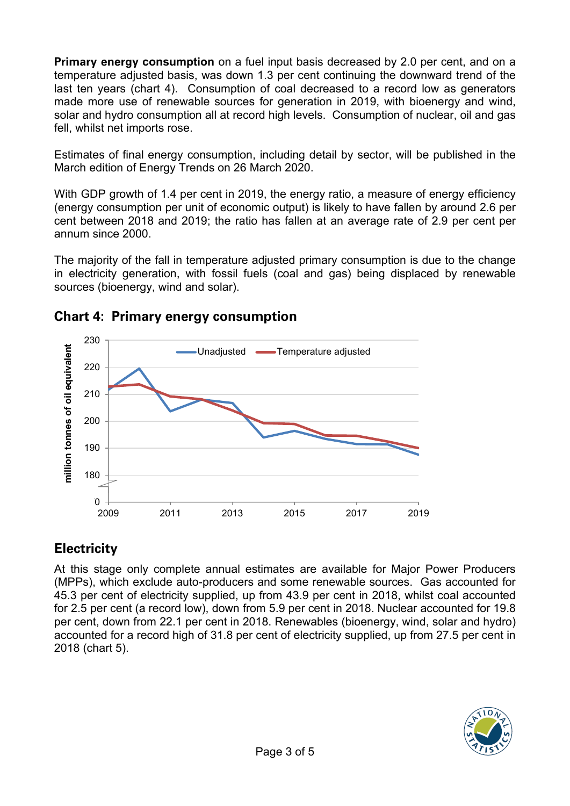**Primary energy consumption** on a fuel input basis decreased by 2.0 per cent, and on a temperature adjusted basis, was down 1.3 per cent continuing the downward trend of the last ten years (chart 4). Consumption of coal decreased to a record low as generators made more use of renewable sources for generation in 2019, with bioenergy and wind, solar and hydro consumption all at record high levels. Consumption of nuclear, oil and gas fell, whilst net imports rose.

Estimates of final energy consumption, including detail by sector, will be published in the March edition of Energy Trends on 26 March 2020.

With GDP growth of 1.4 per cent in 2019, the energy ratio, a measure of energy efficiency (energy consumption per unit of economic output) is likely to have fallen by around 2.6 per cent between 2018 and 2019; the ratio has fallen at an average rate of 2.9 per cent per annum since 2000.

The majority of the fall in temperature adjusted primary consumption is due to the change in electricity generation, with fossil fuels (coal and gas) being displaced by renewable sources (bioenergy, wind and solar).



# **Chart 4: Primary energy consumption**

# **Electricity**

At this stage only complete annual estimates are available for Major Power Producers (MPPs), which exclude auto-producers and some renewable sources. Gas accounted for 45.3 per cent of electricity supplied, up from 43.9 per cent in 2018, whilst coal accounted for 2.5 per cent (a record low), down from 5.9 per cent in 2018. Nuclear accounted for 19.8 per cent, down from 22.1 per cent in 2018. Renewables (bioenergy, wind, solar and hydro) accounted for a record high of 31.8 per cent of electricity supplied, up from 27.5 per cent in 2018 (chart 5).

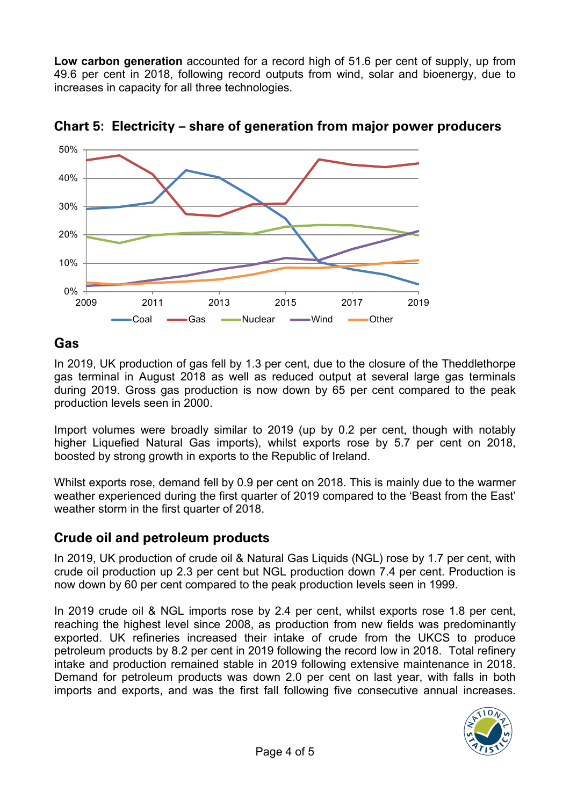**Low carbon generation** accounted for a record high of 51.6 per cent of supply, up from 49.6 per cent in 2018, following record outputs from wind, solar and bioenergy, due to increases in capacity for all three technologies.



**Chart 5: Electricity – share of generation from major power producers**

## **Gas**

In 2019, UK production of gas fell by 1.3 per cent, due to the closure of the Theddlethorpe gas terminal in August 2018 as well as reduced output at several large gas terminals during 2019. Gross gas production is now down by 65 per cent compared to the peak production levels seen in 2000.

Import volumes were broadly similar to 2019 (up by 0.2 per cent, though with notably higher Liquefied Natural Gas imports), whilst exports rose by 5.7 per cent on 2018, boosted by strong growth in exports to the Republic of Ireland.

Whilst exports rose, demand fell by 0.9 per cent on 2018. This is mainly due to the warmer weather experienced during the first quarter of 2019 compared to the 'Beast from the East' weather storm in the first quarter of 2018.

# **Crude oil and petroleum products**

In 2019, UK production of crude oil & Natural Gas Liquids (NGL) rose by 1.7 per cent, with crude oil production up 2.3 per cent but NGL production down 7.4 per cent. Production is now down by 60 per cent compared to the peak production levels seen in 1999.

In 2019 crude oil & NGL imports rose by 2.4 per cent, whilst exports rose 1.8 per cent, reaching the highest level since 2008, as production from new fields was predominantly exported. UK refineries increased their intake of crude from the UKCS to produce petroleum products by 8.2 per cent in 2019 following the record low in 2018. Total refinery intake and production remained stable in 2019 following extensive maintenance in 2018. Demand for petroleum products was down 2.0 per cent on last year, with falls in both imports and exports, and was the first fall following five consecutive annual increases.